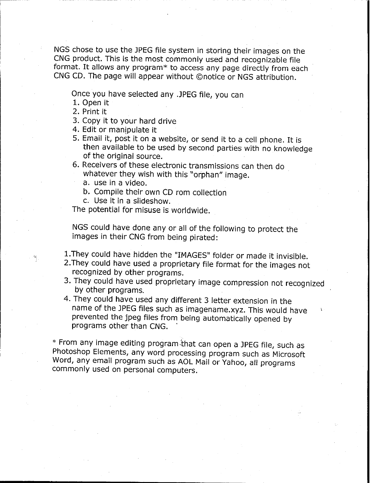NGS chose to use the JPEG file system in storing their images on the CNG product. This is the most commonly used and recognizable file format. It allows any program\* to access any page directly from each CNG CD. The page will appear without ©notice or NGS attribution.

Once you have selected any .JPEG file, you can

1. Open it

---- ,

- 2. Print it
- 3. Copy it to your hard drive
- 4. Edit or manipulate it
- 5. Email it, post it on a website, or send it to a cell phone. It is then available to be used by second parties with no knowledge of the original source.
- 6. Receivers of these electronic transmissions can then do whatever they wish with this "orphan" image.
	- a. use in a video.
	- b. Compile their own CD rom collection
	- c. Use it in a slideshow.

The potential for misuse is worldwide.

NGS could have done any or all of the following to protect the images in their CNG from being pirated:

- 1.They could have hidden the "IMAGES" folder or made it invisible.
- 2.They could have used a proprietary file format for the images not recognized by other programs.
- 3. They could have used proprietary image compression not recognized by other programs.
- 4. They could have used any different 3 letter extension in the name of the JPEG files such as imagename.xyz. This would have prevented the jpeg files from being automatically opened by programs other than CNG. .

\* From any image editing program -that can open a JPEG file, such as Photoshop Elements, any word processing program such as Microsoft Word, any email program such as AOL Mail or Yahoo, all programs commonly used on personal computers.